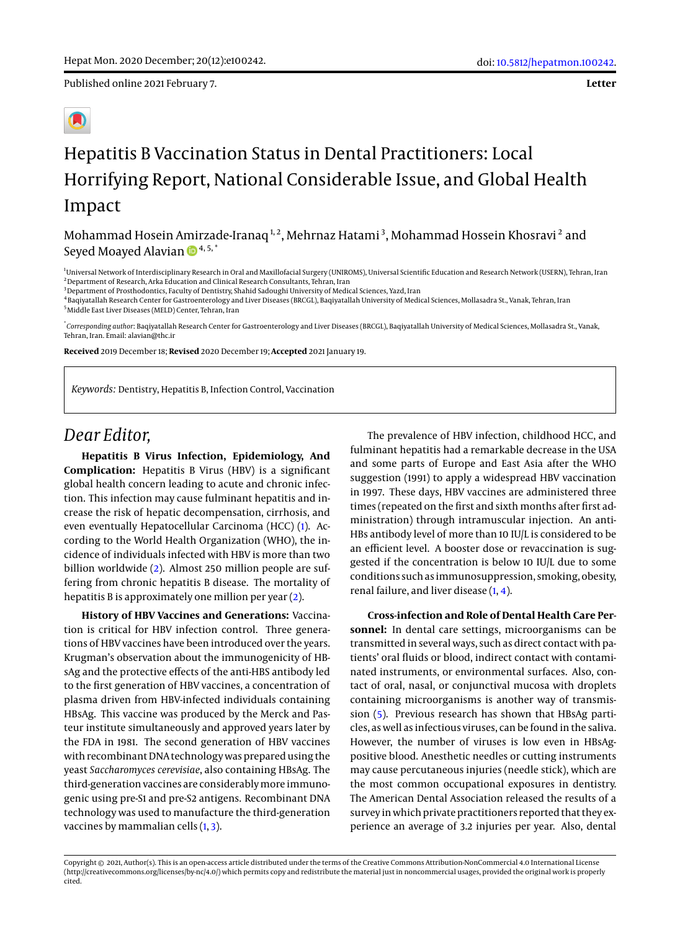Published online 2021 February 7.

**Letter**

## Hepatitis B Vaccination Status in Dental Practitioners: Local Horrifying Report, National Considerable Issue, and Global Health Impact

Mohammad Hosein Amirzade-Iranaq<sup>1,2</sup>, Mehrnaz Hatami<sup>3</sup>, Mohammad Hossein Khosravi<sup>2</sup> and Seyed Moayed Alavian  $\mathbb{D}^{4,5,*}$  $\mathbb{D}^{4,5,*}$  $\mathbb{D}^{4,5,*}$ 

<sup>1</sup>Universal Network of Interdisciplinary Research in Oral and Maxillofacial Surgery (UNIROMS), Universal Scientific Education and Research Network (USERN), Tehran, Iran <sup>2</sup> Department of Research, Arka Education and Clinical Research Consultants, Tehran, Iran

<sup>3</sup> Department of Prosthodontics, Faculty of Dentistry, Shahid Sadoughi University of Medical Sciences, Yazd, Iran

4 Baqiyatallah Research Center for Gastroenterology and Liver Diseases (BRCGL), Baqiyatallah University of Medical Sciences, Mollasadra St., Vanak, Tehran, Iran <sup>5</sup>Middle East Liver Diseases (MELD) Center, Tehran, Iran

\* *Corresponding author*: Baqiyatallah Research Center for Gastroenterology and Liver Diseases (BRCGL), Baqiyatallah University of Medical Sciences, Mollasadra St., Vanak, Tehran, Iran. Email: alavian@thc.ir

**Received** 2019 December 18; **Revised** 2020 December 19; **Accepted** 2021 January 19.

*Keywords:* Dentistry, Hepatitis B, Infection Control, Vaccination

## *Dear Editor,*

**Hepatitis B Virus Infection, Epidemiology, And Complication:** Hepatitis B Virus (HBV) is a significant global health concern leading to acute and chronic infection. This infection may cause fulminant hepatitis and increase the risk of hepatic decompensation, cirrhosis, and even eventually Hepatocellular Carcinoma (HCC) [\(1\)](#page-2-0). According to the World Health Organization (WHO), the incidence of individuals infected with HBV is more than two billion worldwide [\(2\)](#page-2-1). Almost 250 million people are suffering from chronic hepatitis B disease. The mortality of hepatitis B is approximately one million per year [\(2\)](#page-2-1).

**History of HBV Vaccines and Generations:** Vaccination is critical for HBV infection control. Three generations of HBV vaccines have been introduced over the years. Krugman's observation about the immunogenicity of HBsAg and the protective effects of the anti-HBS antibody led to the first generation of HBV vaccines, a concentration of plasma driven from HBV-infected individuals containing HBsAg. This vaccine was produced by the Merck and Pasteur institute simultaneously and approved years later by the FDA in 1981. The second generation of HBV vaccines with recombinant DNA technology was prepared using the yeast *Saccharomyces cerevisiae*, also containing HBsAg. The third-generation vaccines are considerablymore immunogenic using pre-S1 and pre-S2 antigens. Recombinant DNA technology was used to manufacture the third-generation vaccines by mammalian cells  $(1, 3)$  $(1, 3)$  $(1, 3)$ .

The prevalence of HBV infection, childhood HCC, and fulminant hepatitis had a remarkable decrease in the USA and some parts of Europe and East Asia after the WHO suggestion (1991) to apply a widespread HBV vaccination in 1997. These days, HBV vaccines are administered three times (repeated on the first and sixth months after first administration) through intramuscular injection. An anti-HBs antibody level of more than 10 IU/L is considered to be an efficient level. A booster dose or revaccination is suggested if the concentration is below 10 IU/L due to some conditions such as immunosuppression, smoking, obesity, renal failure, and liver disease [\(1,](#page-2-0) [4\)](#page-2-3).

**Cross-infection and Role of Dental Health Care Personnel:** In dental care settings, microorganisms can be transmitted in several ways, such as direct contact with patients' oral fluids or blood, indirect contact with contaminated instruments, or environmental surfaces. Also, contact of oral, nasal, or conjunctival mucosa with droplets containing microorganisms is another way of transmission [\(5\)](#page-2-4). Previous research has shown that HBsAg particles, as well as infectious viruses, can be found in the saliva. However, the number of viruses is low even in HBsAgpositive blood. Anesthetic needles or cutting instruments may cause percutaneous injuries (needle stick), which are the most common occupational exposures in dentistry. The American Dental Association released the results of a survey in which private practitioners reported that they experience an average of 3.2 injuries per year. Also, dental

Copyright © 2021, Author(s). This is an open-access article distributed under the terms of the Creative Commons Attribution-NonCommercial 4.0 International License (http://creativecommons.org/licenses/by-nc/4.0/) which permits copy and redistribute the material just in noncommercial usages, provided the original work is properly cited.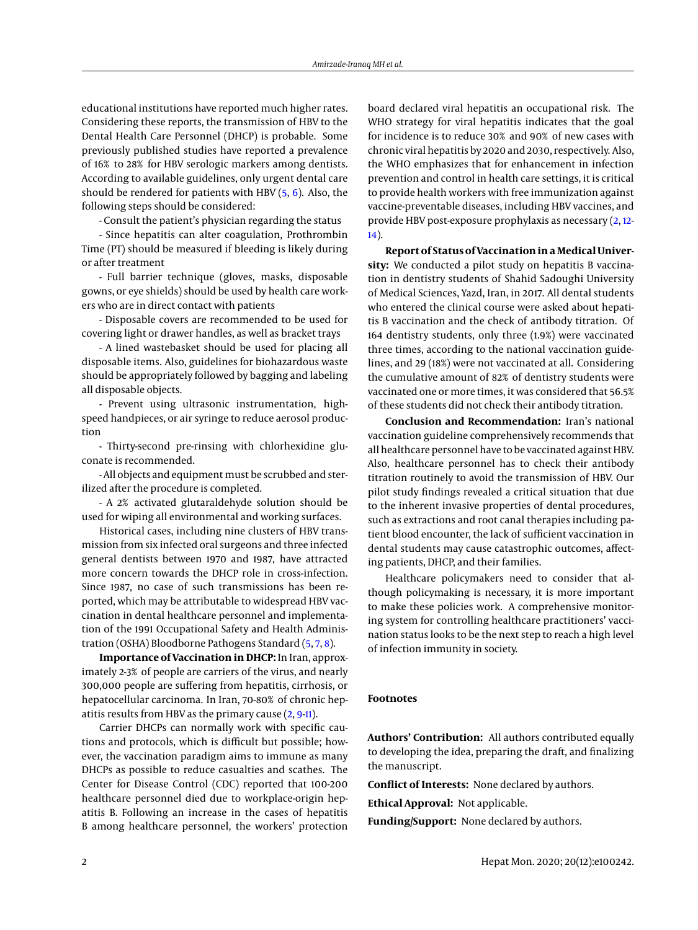educational institutions have reported much higher rates. Considering these reports, the transmission of HBV to the Dental Health Care Personnel (DHCP) is probable. Some previously published studies have reported a prevalence of 16% to 28% for HBV serologic markers among dentists. According to available guidelines, only urgent dental care should be rendered for patients with HBV  $(5, 6)$  $(5, 6)$  $(5, 6)$ . Also, the following steps should be considered:

- Consult the patient's physician regarding the status

- Since hepatitis can alter coagulation, Prothrombin Time (PT) should be measured if bleeding is likely during or after treatment

- Full barrier technique (gloves, masks, disposable gowns, or eye shields) should be used by health care workers who are in direct contact with patients

- Disposable covers are recommended to be used for covering light or drawer handles, as well as bracket trays

- A lined wastebasket should be used for placing all disposable items. Also, guidelines for biohazardous waste should be appropriately followed by bagging and labeling all disposable objects.

- Prevent using ultrasonic instrumentation, highspeed handpieces, or air syringe to reduce aerosol production

- Thirty-second pre-rinsing with chlorhexidine gluconate is recommended.

- All objects and equipment must be scrubbed and sterilized after the procedure is completed.

- A 2% activated glutaraldehyde solution should be used for wiping all environmental and working surfaces.

Historical cases, including nine clusters of HBV transmission from six infected oral surgeons and three infected general dentists between 1970 and 1987, have attracted more concern towards the DHCP role in cross-infection. Since 1987, no case of such transmissions has been reported, which may be attributable to widespread HBV vaccination in dental healthcare personnel and implementation of the 1991 Occupational Safety and Health Administration (OSHA) Bloodborne Pathogens Standard [\(5,](#page-2-4) [7,](#page-2-6) [8\)](#page-2-7).

**Importance of Vaccination in DHCP:** In Iran, approximately 2-3% of people are carriers of the virus, and nearly 300,000 people are suffering from hepatitis, cirrhosis, or hepatocellular carcinoma. In Iran, 70-80% of chronic hepatitis results from HBV as the primary cause [\(2,](#page-2-1) [9](#page-2-8)[-11\)](#page-2-9).

Carrier DHCPs can normally work with specific cautions and protocols, which is difficult but possible; however, the vaccination paradigm aims to immune as many DHCPs as possible to reduce casualties and scathes. The Center for Disease Control (CDC) reported that 100-200 healthcare personnel died due to workplace-origin hepatitis B. Following an increase in the cases of hepatitis B among healthcare personnel, the workers' protection

board declared viral hepatitis an occupational risk. The WHO strategy for viral hepatitis indicates that the goal for incidence is to reduce 30% and 90% of new cases with chronic viral hepatitis by 2020 and 2030, respectively. Also, the WHO emphasizes that for enhancement in infection prevention and control in health care settings, it is critical to provide health workers with free immunization against vaccine-preventable diseases, including HBV vaccines, and provide HBV post-exposure prophylaxis as necessary [\(2,](#page-2-1) [12-](#page-2-10) [14\)](#page-2-11).

**Report of Status of Vaccination in a Medical University:** We conducted a pilot study on hepatitis B vaccination in dentistry students of Shahid Sadoughi University of Medical Sciences, Yazd, Iran, in 2017. All dental students who entered the clinical course were asked about hepatitis B vaccination and the check of antibody titration. Of 164 dentistry students, only three (1.9%) were vaccinated three times, according to the national vaccination guidelines, and 29 (18%) were not vaccinated at all. Considering the cumulative amount of 82% of dentistry students were vaccinated one or more times, it was considered that 56.5% of these students did not check their antibody titration.

**Conclusion and Recommendation:** Iran's national vaccination guideline comprehensively recommends that all healthcare personnel have to be vaccinated against HBV. Also, healthcare personnel has to check their antibody titration routinely to avoid the transmission of HBV. Our pilot study findings revealed a critical situation that due to the inherent invasive properties of dental procedures, such as extractions and root canal therapies including patient blood encounter, the lack of sufficient vaccination in dental students may cause catastrophic outcomes, affecting patients, DHCP, and their families.

Healthcare policymakers need to consider that although policymaking is necessary, it is more important to make these policies work. A comprehensive monitoring system for controlling healthcare practitioners' vaccination status looks to be the next step to reach a high level of infection immunity in society.

## **Footnotes**

**Authors' Contribution:** All authors contributed equally to developing the idea, preparing the draft, and finalizing the manuscript.

**Conflict of Interests:** None declared by authors.

**Ethical Approval:** Not applicable.

**Funding/Support:** None declared by authors.